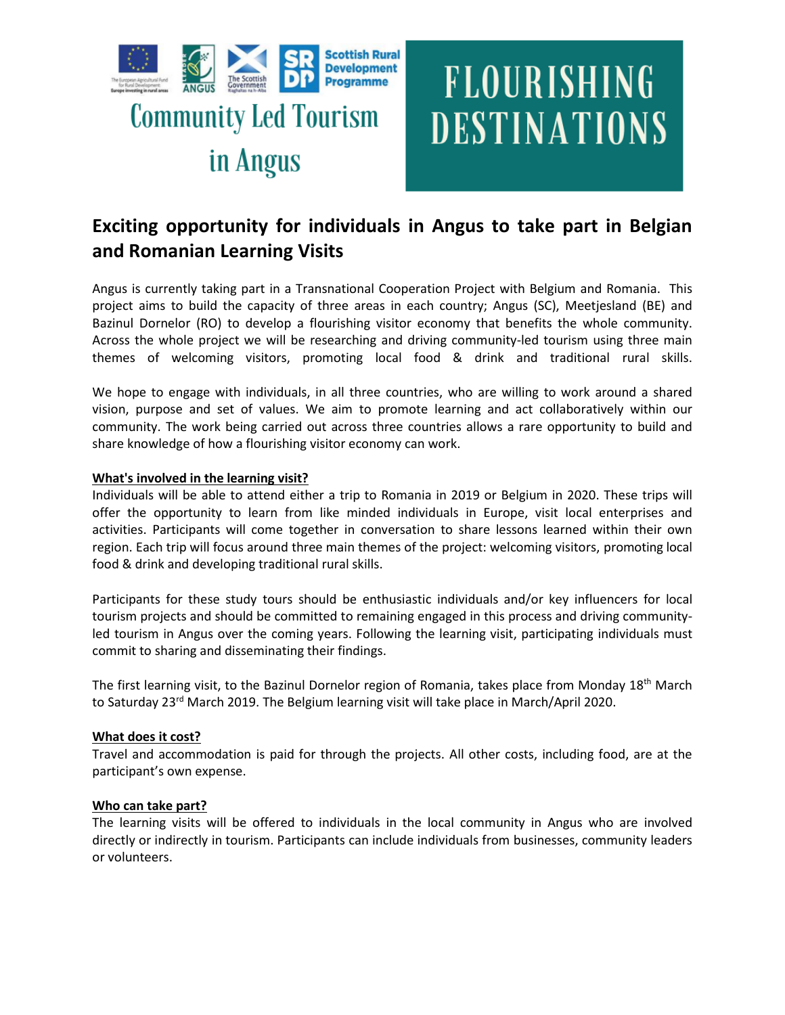



# **Exciting opportunity for individuals in Angus to take part in Belgian and Romanian Learning Visits**

Angus is currently taking part in a Transnational Cooperation Project with Belgium and Romania. This project aims to build the capacity of three areas in each country; Angus (SC), Meetjesland (BE) and Bazinul Dornelor (RO) to develop a flourishing visitor economy that benefits the whole community. Across the whole project we will be researching and driving community-led tourism using three main themes of welcoming visitors, promoting local food & drink and traditional rural skills.

We hope to engage with individuals, in all three countries, who are willing to work around a shared vision, purpose and set of values. We aim to promote learning and act collaboratively within our community. The work being carried out across three countries allows a rare opportunity to build and share knowledge of how a flourishing visitor economy can work.

## **What's involved in the learning visit?**

Individuals will be able to attend either a trip to Romania in 2019 or Belgium in 2020. These trips will offer the opportunity to learn from like minded individuals in Europe, visit local enterprises and activities. Participants will come together in conversation to share lessons learned within their own region. Each trip will focus around three main themes of the project: welcoming visitors, promoting local food & drink and developing traditional rural skills.

Participants for these study tours should be enthusiastic individuals and/or key influencers for local tourism projects and should be committed to remaining engaged in this process and driving communityled tourism in Angus over the coming years. Following the learning visit, participating individuals must commit to sharing and disseminating their findings.

The first learning visit, to the Bazinul Dornelor region of Romania, takes place from Monday 18th March to Saturday 23<sup>rd</sup> March 2019. The Belgium learning visit will take place in March/April 2020.

# **What does it cost?**

Travel and accommodation is paid for through the projects. All other costs, including food, are at the participant's own expense.

## **Who can take part?**

The learning visits will be offered to individuals in the local community in Angus who are involved directly or indirectly in tourism. Participants can include individuals from businesses, community leaders or volunteers.